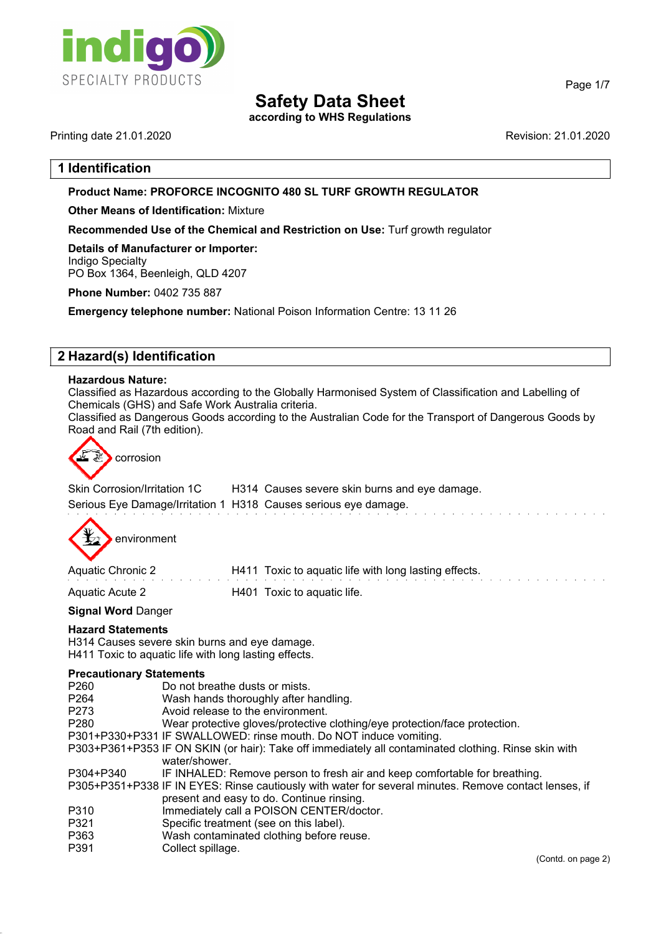

## **Safety Data Sheet**

**according to WHS Regulations**

Printing date 21.01.2020 **Revision: 21.01.2020** Revision: 21.01.2020

Page 1/7

## **1 Identification**

## **Product Name: PROFORCE INCOGNITO 480 SL TURF GROWTH REGULATOR**

**Other Means of Identification:** Mixture

**Recommended Use of the Chemical and Restriction on Use:** Turf growth regulator

**Details of Manufacturer or Importer:** Indigo Specialty PO Box 1364, Beenleigh, QLD 4207

**Phone Number:** 0402 735 887

**Emergency telephone number:** National Poison Information Centre: 13 11 26

## **2 Hazard(s) Identification**

#### **Hazardous Nature:**

Classified as Hazardous according to the Globally Harmonised System of Classification and Labelling of Chemicals (GHS) and Safe Work Australia criteria.

Classified as Dangerous Goods according to the Australian Code for the Transport of Dangerous Goods by Road and Rail (7th edition).



| Skin Corrosion/Irritation 1C                                    | H314 Causes severe skin burns and eye damage. |
|-----------------------------------------------------------------|-----------------------------------------------|
| Serious Eye Damage/Irritation 1 H318 Causes serious eye damage. |                                               |



| Aquatic Chronic 2      | H411 Toxic to aquatic life with long lasting effects. |
|------------------------|-------------------------------------------------------|
| <b>Aquatic Acute 2</b> | H401 Toxic to aquatic life.                           |

#### **Signal Word** Danger

#### **Hazard Statements**

H314 Causes severe skin burns and eye damage. H411 Toxic to aquatic life with long lasting effects.

# **Precautionary Statements**<br>P260 Do not by

| P260      | Do not breathe dusts or mists.                                                                        |
|-----------|-------------------------------------------------------------------------------------------------------|
| P264      | Wash hands thoroughly after handling.                                                                 |
| P273      | Avoid release to the environment.                                                                     |
| P280      | Wear protective gloves/protective clothing/eye protection/face protection.                            |
|           | P301+P330+P331 IF SWALLOWED: rinse mouth. Do NOT induce vomiting.                                     |
|           | P303+P361+P353 IF ON SKIN (or hair): Take off immediately all contaminated clothing. Rinse skin with  |
|           | water/shower.                                                                                         |
| P304+P340 | IF INHALED: Remove person to fresh air and keep comfortable for breathing.                            |
|           | P305+P351+P338 IF IN EYES: Rinse cautiously with water for several minutes. Remove contact lenses, it |
|           | present and easy to do. Continue rinsing.                                                             |
| P310      | Immediately call a POISON CENTER/doctor.                                                              |
| P321      | Specific treatment (see on this label).                                                               |
| P363      | Wash contaminated clothing before reuse.                                                              |
|           |                                                                                                       |

P391 Collect spillage.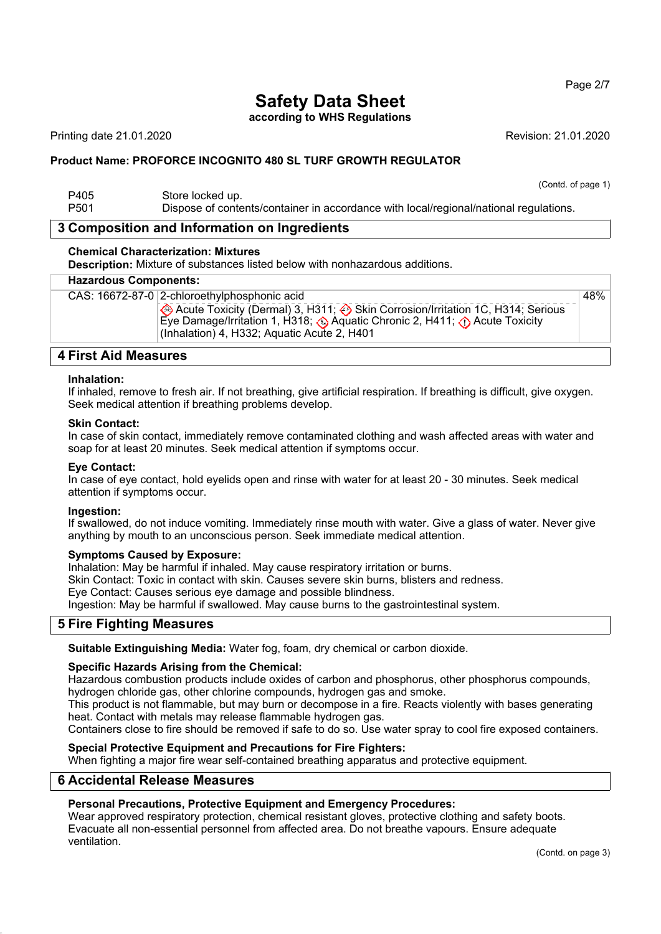#### Page 2/7

# **Safety Data Sheet**

**according to WHS Regulations**

Printing date 21.01.2020 **Revision: 21.01.2020** Revision: 21.01.2020

## **Product Name: PROFORCE INCOGNITO 480 SL TURF GROWTH REGULATOR**

#### (Contd. of page 1) P405 Store locked up. P501 Dispose of contents/container in accordance with local/regional/national regulations.

## **3 Composition and Information on Ingredients**

#### **Chemical Characterization: Mixtures**

**Description:** Mixture of substances listed below with nonhazardous additions.

#### **Hazardous Components:**

CAS: 16672-87-0 2-chloroethylphosphonic acid

Acute Toxicity (Dermal) 3, H311; Skin Corrosion/Irritation 1C, H314; Serious Eye Damage/Irritation 1, H318; Aquatic Chronic 2, H411; A Acute Toxicity (Inhalation) 4, H332; Aquatic Acute 2, H401 48%

## **4 First Aid Measures**

#### **Inhalation:**

If inhaled, remove to fresh air. If not breathing, give artificial respiration. If breathing is difficult, give oxygen. Seek medical attention if breathing problems develop.

#### **Skin Contact:**

In case of skin contact, immediately remove contaminated clothing and wash affected areas with water and soap for at least 20 minutes. Seek medical attention if symptoms occur.

#### **Eye Contact:**

In case of eye contact, hold eyelids open and rinse with water for at least 20 - 30 minutes. Seek medical attention if symptoms occur.

#### **Ingestion:**

If swallowed, do not induce vomiting. Immediately rinse mouth with water. Give a glass of water. Never give anything by mouth to an unconscious person. Seek immediate medical attention.

#### **Symptoms Caused by Exposure:**

Inhalation: May be harmful if inhaled. May cause respiratory irritation or burns.

Skin Contact: Toxic in contact with skin. Causes severe skin burns, blisters and redness.

Eye Contact: Causes serious eye damage and possible blindness.

Ingestion: May be harmful if swallowed. May cause burns to the gastrointestinal system.

## **5 Fire Fighting Measures**

**Suitable Extinguishing Media:** Water fog, foam, dry chemical or carbon dioxide.

#### **Specific Hazards Arising from the Chemical:**

Hazardous combustion products include oxides of carbon and phosphorus, other phosphorus compounds, hydrogen chloride gas, other chlorine compounds, hydrogen gas and smoke.

This product is not flammable, but may burn or decompose in a fire. Reacts violently with bases generating heat. Contact with metals may release flammable hydrogen gas.

Containers close to fire should be removed if safe to do so. Use water spray to cool fire exposed containers.

#### **Special Protective Equipment and Precautions for Fire Fighters:**

When fighting a major fire wear self-contained breathing apparatus and protective equipment.

#### **6 Accidental Release Measures**

## **Personal Precautions, Protective Equipment and Emergency Procedures:**

Wear approved respiratory protection, chemical resistant gloves, protective clothing and safety boots. Evacuate all non-essential personnel from affected area. Do not breathe vapours. Ensure adequate ventilation.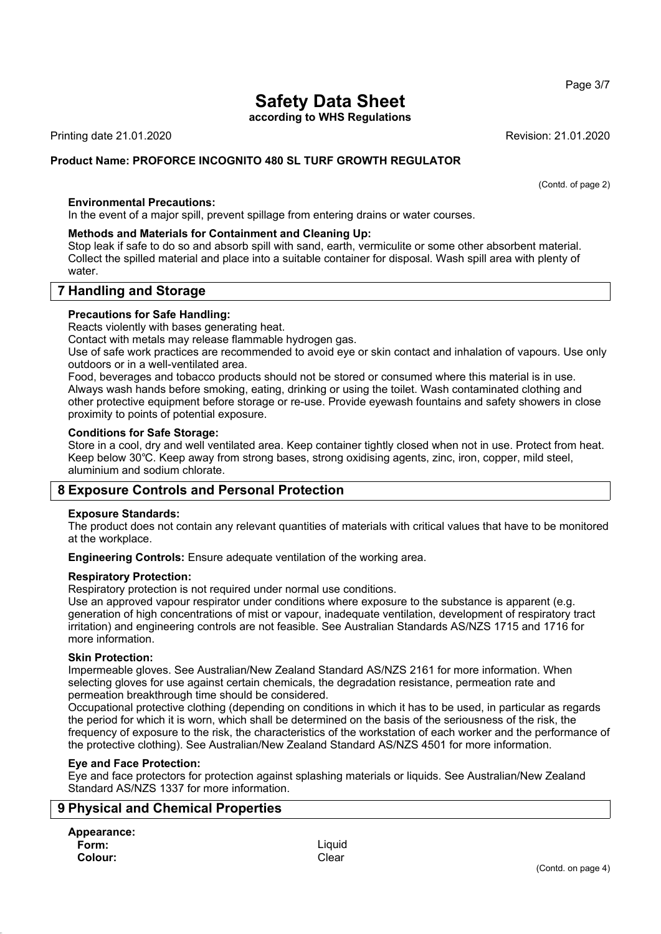## Page 3/7

# **Safety Data Sheet**

**according to WHS Regulations**

Printing date 21.01.2020 **Revision: 21.01.2020** Revision: 21.01.2020

## **Product Name: PROFORCE INCOGNITO 480 SL TURF GROWTH REGULATOR**

(Contd. of page 2)

#### **Environmental Precautions:**

In the event of a major spill, prevent spillage from entering drains or water courses.

#### **Methods and Materials for Containment and Cleaning Up:**

Stop leak if safe to do so and absorb spill with sand, earth, vermiculite or some other absorbent material. Collect the spilled material and place into a suitable container for disposal. Wash spill area with plenty of water.

## **7 Handling and Storage**

#### **Precautions for Safe Handling:**

Reacts violently with bases generating heat.

Contact with metals may release flammable hydrogen gas.

Use of safe work practices are recommended to avoid eye or skin contact and inhalation of vapours. Use only outdoors or in a well-ventilated area.

Food, beverages and tobacco products should not be stored or consumed where this material is in use. Always wash hands before smoking, eating, drinking or using the toilet. Wash contaminated clothing and other protective equipment before storage or re-use. Provide eyewash fountains and safety showers in close proximity to points of potential exposure.

#### **Conditions for Safe Storage:**

Store in a cool, dry and well ventilated area. Keep container tightly closed when not in use. Protect from heat. Keep below 30℃. Keep away from strong bases, strong oxidising agents, zinc, iron, copper, mild steel, aluminium and sodium chlorate.

## **8 Exposure Controls and Personal Protection**

#### **Exposure Standards:**

The product does not contain any relevant quantities of materials with critical values that have to be monitored at the workplace.

**Engineering Controls:** Ensure adequate ventilation of the working area.

#### **Respiratory Protection:**

Respiratory protection is not required under normal use conditions.

Use an approved vapour respirator under conditions where exposure to the substance is apparent (e.g. generation of high concentrations of mist or vapour, inadequate ventilation, development of respiratory tract irritation) and engineering controls are not feasible. See Australian Standards AS/NZS 1715 and 1716 for more information.

#### **Skin Protection:**

Impermeable gloves. See Australian/New Zealand Standard AS/NZS 2161 for more information. When selecting gloves for use against certain chemicals, the degradation resistance, permeation rate and permeation breakthrough time should be considered.

Occupational protective clothing (depending on conditions in which it has to be used, in particular as regards the period for which it is worn, which shall be determined on the basis of the seriousness of the risk, the frequency of exposure to the risk, the characteristics of the workstation of each worker and the performance of the protective clothing). See Australian/New Zealand Standard AS/NZS 4501 for more information.

#### **Eye and Face Protection:**

Eye and face protectors for protection against splashing materials or liquids. See Australian/New Zealand Standard AS/NZS 1337 for more information.

## **9 Physical and Chemical Properties**

**Appearance: Form:** Liquid **Colour:** Clear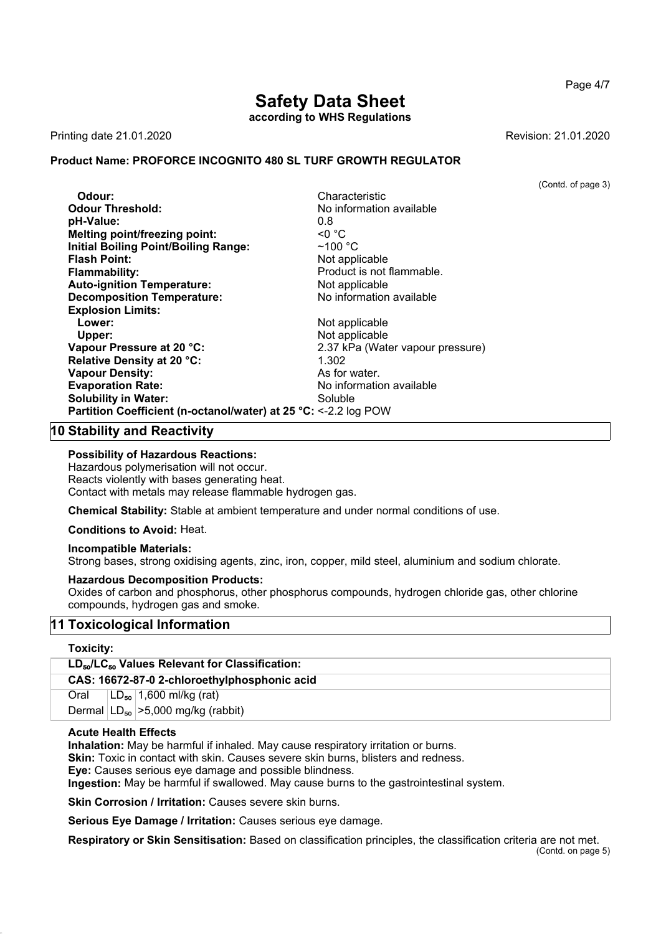# **Safety Data Sheet**

**according to WHS Regulations**

Printing date 21.01.2020 **Revision: 21.01.2020** Revision: 21.01.2020

## **Product Name: PROFORCE INCOGNITO 480 SL TURF GROWTH REGULATOR**

(Contd. of page 3)

| Odour:                                                           | Characteristic                   |
|------------------------------------------------------------------|----------------------------------|
| <b>Odour Threshold:</b>                                          | No information available         |
| pH-Value:                                                        | 0.8                              |
| <b>Melting point/freezing point:</b>                             | $\leq 0$ °C                      |
| <b>Initial Boiling Point/Boiling Range:</b>                      | $~100~{\rm ^{\circ}C}$           |
| <b>Flash Point:</b>                                              | Not applicable                   |
| <b>Flammability:</b>                                             | Product is not flammable.        |
| <b>Auto-ignition Temperature:</b>                                | Not applicable                   |
| <b>Decomposition Temperature:</b>                                | No information available         |
| <b>Explosion Limits:</b>                                         |                                  |
| Lower:                                                           | Not applicable                   |
| Upper:                                                           | Not applicable                   |
| Vapour Pressure at 20 °C:                                        | 2.37 kPa (Water vapour pressure) |
| Relative Density at 20 °C:                                       | 1.302                            |
| <b>Vapour Density:</b>                                           | As for water.                    |
| <b>Evaporation Rate:</b>                                         | No information available         |
| <b>Solubility in Water:</b>                                      | Soluble                          |
| Partition Coefficient (n-octanol/water) at 25 °C: <- 2.2 log POW |                                  |
|                                                                  |                                  |

## **10 Stability and Reactivity**

#### **Possibility of Hazardous Reactions:**

Hazardous polymerisation will not occur. Reacts violently with bases generating heat. Contact with metals may release flammable hydrogen gas.

**Chemical Stability:** Stable at ambient temperature and under normal conditions of use.

#### **Conditions to Avoid:** Heat.

#### **Incompatible Materials:**

Strong bases, strong oxidising agents, zinc, iron, copper, mild steel, aluminium and sodium chlorate.

#### **Hazardous Decomposition Products:**

Oxides of carbon and phosphorus, other phosphorus compounds, hydrogen chloride gas, other chlorine compounds, hydrogen gas and smoke.

## **11 Toxicological Information**

## **Toxicity:**

| <b>LOXICILY.</b>                                      |  |  |  |
|-------------------------------------------------------|--|--|--|
| $LD_{50}/LC_{50}$ Values Relevant for Classification: |  |  |  |
| CAS: 16672-87-0 2-chloroethylphosphonic acid          |  |  |  |
| $ LD_{50} $ 1,600 ml/kg (rat)<br>Oral                 |  |  |  |

Dermal  $|LD_{50}|$  > 5,000 mg/kg (rabbit)

#### **Acute Health Effects**

**Inhalation:** May be harmful if inhaled. May cause respiratory irritation or burns.

**Skin:** Toxic in contact with skin. Causes severe skin burns, blisters and redness.

**Eye:** Causes serious eye damage and possible blindness.

**Ingestion:** May be harmful if swallowed. May cause burns to the gastrointestinal system.

**Skin Corrosion / Irritation:** Causes severe skin burns.

**Serious Eye Damage / Irritation:** Causes serious eye damage.

**Respiratory or Skin Sensitisation:** Based on classification principles, the classification criteria are not met.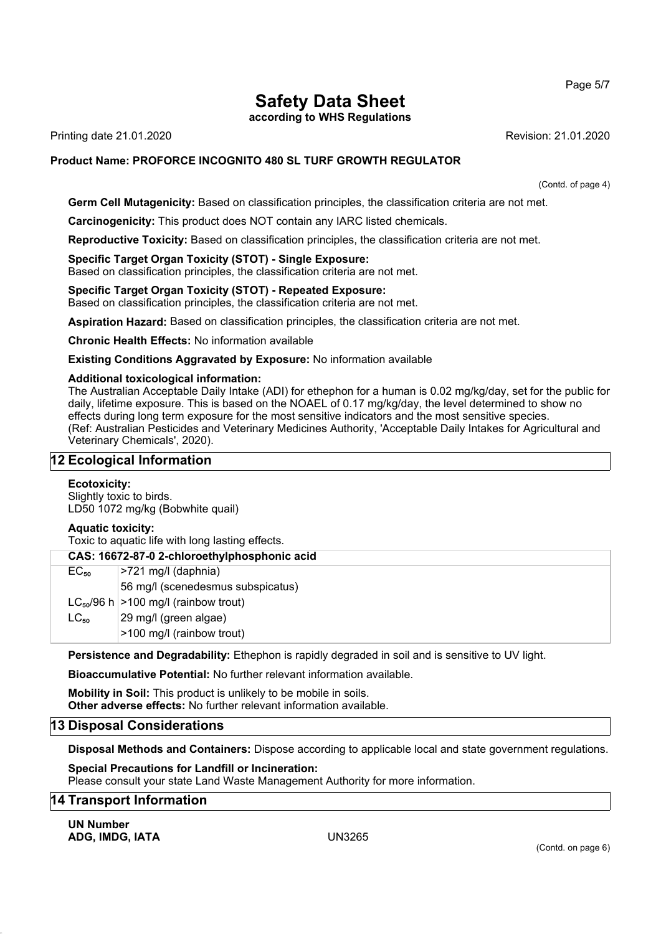Page 5/7

# **Safety Data Sheet**

**according to WHS Regulations**

Printing date 21.01.2020 **Revision: 21.01.2020** 

## **Product Name: PROFORCE INCOGNITO 480 SL TURF GROWTH REGULATOR**

(Contd. of page 4)

**Germ Cell Mutagenicity:** Based on classification principles, the classification criteria are not met.

**Carcinogenicity:** This product does NOT contain any IARC listed chemicals.

**Reproductive Toxicity:** Based on classification principles, the classification criteria are not met.

## **Specific Target Organ Toxicity (STOT) - Single Exposure:**

Based on classification principles, the classification criteria are not met.

## **Specific Target Organ Toxicity (STOT) - Repeated Exposure:**

Based on classification principles, the classification criteria are not met.

**Aspiration Hazard:** Based on classification principles, the classification criteria are not met.

**Chronic Health Effects:** No information available

## **Existing Conditions Aggravated by Exposure:** No information available

## **Additional toxicological information:**

The Australian Acceptable Daily Intake (ADI) for ethephon for a human is 0.02 mg/kg/day, set for the public for daily, lifetime exposure. This is based on the NOAEL of 0.17 mg/kg/day, the level determined to show no effects during long term exposure for the most sensitive indicators and the most sensitive species. (Ref: Australian Pesticides and Veterinary Medicines Authority, 'Acceptable Daily Intakes for Agricultural and Veterinary Chemicals', 2020).

## **12 Ecological Information**

## **Ecotoxicity:**

Slightly toxic to birds. LD50 1072 mg/kg (Bobwhite quail)

## **Aquatic toxicity:**

Toxic to aquatic life with long lasting effects.

| CAS: 16672-87-0 2-chloroethylphosphonic acid |                                            |  |
|----------------------------------------------|--------------------------------------------|--|
| $EC_{50}$                                    | >721 mg/l (daphnia)                        |  |
|                                              | 56 mg/l (scenedesmus subspicatus)          |  |
|                                              | $LC_{50}/96$ h $>100$ mg/l (rainbow trout) |  |
| $LC_{50}$                                    | 29 mg/l (green algae)                      |  |
|                                              | >100 mg/l (rainbow trout)                  |  |

**Persistence and Degradability:** Ethephon is rapidly degraded in soil and is sensitive to UV light.

**Bioaccumulative Potential:** No further relevant information available.

**Mobility in Soil:** This product is unlikely to be mobile in soils. **Other adverse effects:** No further relevant information available.

## **13 Disposal Considerations**

**Disposal Methods and Containers:** Dispose according to applicable local and state government regulations.

**Special Precautions for Landfill or Incineration:** Please consult your state Land Waste Management Authority for more information.

## **14 Transport Information**

**UN Number ADG, IMDG, IATA** UN3265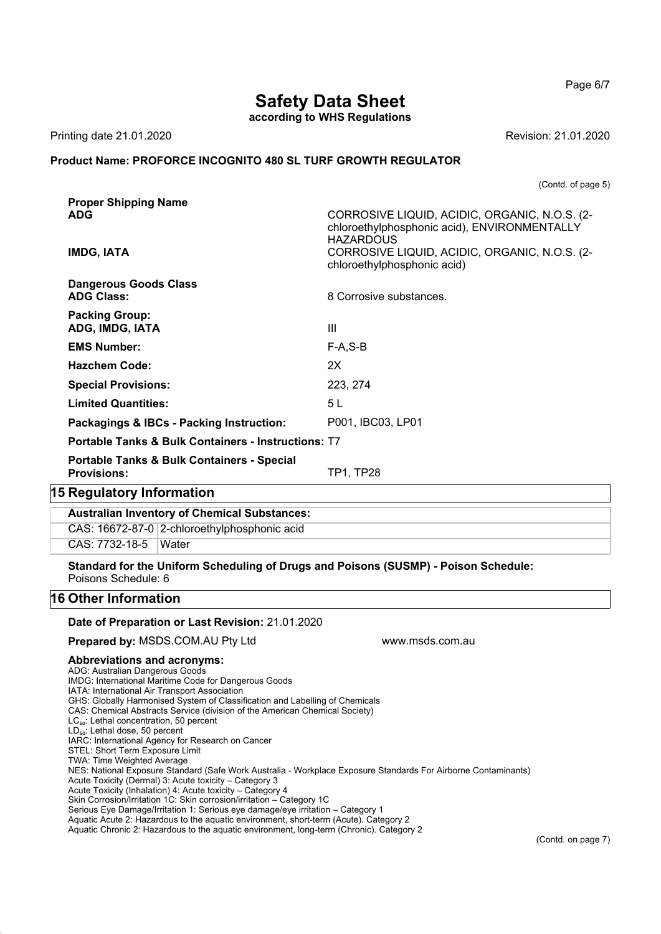Page 6/7

## **Safety Data Sheet**

**according to WHS Regulations**

Printing date 21.01.2020 **Revision: 21.01.2020** Revision: 21.01.2020

#### **Product Name: PROFORCE INCOGNITO 480 SL TURF GROWTH REGULATOR**

(Contd. of page 5)

| <b>Proper Shipping Name</b>                                    |                                                                              |  |
|----------------------------------------------------------------|------------------------------------------------------------------------------|--|
| <b>ADG</b>                                                     | CORROSIVE LIQUID, ACIDIC, ORGANIC, N.O.S. (2-                                |  |
|                                                                | chloroethylphosphonic acid), ENVIRONMENTALLY<br><b>HAZARDOUS</b>             |  |
| <b>IMDG, IATA</b>                                              | CORROSIVE LIQUID, ACIDIC, ORGANIC, N.O.S. (2-<br>chloroethylphosphonic acid) |  |
| <b>Dangerous Goods Class</b>                                   |                                                                              |  |
| <b>ADG Class:</b>                                              | 8 Corrosive substances.                                                      |  |
| <b>Packing Group:</b>                                          |                                                                              |  |
| ADG, IMDG, IATA                                                | Ш                                                                            |  |
| <b>EMS Number:</b>                                             | $F-A, S-B$                                                                   |  |
| <b>Hazchem Code:</b>                                           | 2X                                                                           |  |
| <b>Special Provisions:</b>                                     | 223, 274                                                                     |  |
| <b>Limited Quantities:</b>                                     | 5 <sub>L</sub>                                                               |  |
| Packagings & IBCs - Packing Instruction:                       | P001, IBC03, LP01                                                            |  |
| <b>Portable Tanks &amp; Bulk Containers - Instructions: T7</b> |                                                                              |  |
| <b>Portable Tanks &amp; Bulk Containers - Special</b>          |                                                                              |  |
| <b>Provisions:</b>                                             | <b>TP1, TP28</b>                                                             |  |
| 15 Regulatory Information                                      |                                                                              |  |
| <b>Australian Inventory of Chemical Substances:</b>            |                                                                              |  |
|                                                                |                                                                              |  |

CAS: 16672-87-0 2-chloroethylphosphonic acid

CAS: 7732-18-5 Water

**Standard for the Uniform Scheduling of Drugs and Poisons (SUSMP) - Poison Schedule:** Poisons Schedule: 6

## **16 Other Information**

#### **Date of Preparation or Last Revision:** 21.01.2020

#### **Prepared by: MSDS.COM.AU Pty Ltd www.msds.com.au**

## **Abbreviations and acronyms:**

ADG: Australian Dangerous Goods IMDG: International Maritime Code for Dangerous Goods

IATA: International Air Transport Association

GHS: Globally Harmonised System of Classification and Labelling of Chemicals

CAS: Chemical Abstracts Service (division of the American Chemical Society)

LC<sub>50</sub>: Lethal concentration, 50 percent

LD<sub>50</sub>: Lethal dose, 50 percent

IARC: International Agency for Research on Cancer

STEL: Short Term Exposure Limit

TWA: Time Weighted Average

NES: National Exposure Standard (Safe Work Australia - Workplace Exposure Standards For Airborne Contaminants)

Acute Toxicity (Dermal) 3: Acute toxicity – Category 3

Acute Toxicity (Inhalation) 4: Acute toxicity – Category 4

Skin Corrosion/Irritation 1C: Skin corrosion/irritation – Category 1C

Serious Eye Damage/Irritation 1: Serious eye damage/eye irritation – Category 1

Aquatic Acute 2: Hazardous to the aquatic environment, short-term (Acute). Category 2

Aquatic Chronic 2: Hazardous to the aquatic environment, long-term (Chronic). Category 2